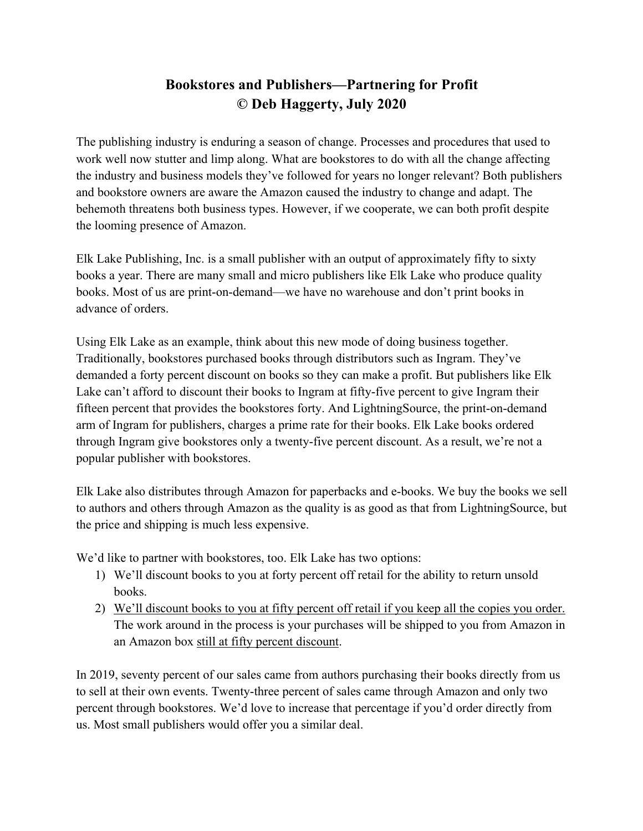## **Bookstores and Publishers—Partnering for Profit © Deb Haggerty, July 2020**

The publishing industry is enduring a season of change. Processes and procedures that used to work well now stutter and limp along. What are bookstores to do with all the change affecting the industry and business models they've followed for years no longer relevant? Both publishers and bookstore owners are aware the Amazon caused the industry to change and adapt. The behemoth threatens both business types. However, if we cooperate, we can both profit despite the looming presence of Amazon.

Elk Lake Publishing, Inc. is a small publisher with an output of approximately fifty to sixty books a year. There are many small and micro publishers like Elk Lake who produce quality books. Most of us are print-on-demand—we have no warehouse and don't print books in advance of orders.

Using Elk Lake as an example, think about this new mode of doing business together. Traditionally, bookstores purchased books through distributors such as Ingram. They've demanded a forty percent discount on books so they can make a profit. But publishers like Elk Lake can't afford to discount their books to Ingram at fifty-five percent to give Ingram their fifteen percent that provides the bookstores forty. And LightningSource, the print-on-demand arm of Ingram for publishers, charges a prime rate for their books. Elk Lake books ordered through Ingram give bookstores only a twenty-five percent discount. As a result, we're not a popular publisher with bookstores.

Elk Lake also distributes through Amazon for paperbacks and e-books. We buy the books we sell to authors and others through Amazon as the quality is as good as that from LightningSource, but the price and shipping is much less expensive.

We'd like to partner with bookstores, too. Elk Lake has two options:

- 1) We'll discount books to you at forty percent off retail for the ability to return unsold books.
- 2) We'll discount books to you at fifty percent off retail if you keep all the copies you order. The work around in the process is your purchases will be shipped to you from Amazon in an Amazon box still at fifty percent discount.

In 2019, seventy percent of our sales came from authors purchasing their books directly from us to sell at their own events. Twenty-three percent of sales came through Amazon and only two percent through bookstores. We'd love to increase that percentage if you'd order directly from us. Most small publishers would offer you a similar deal.